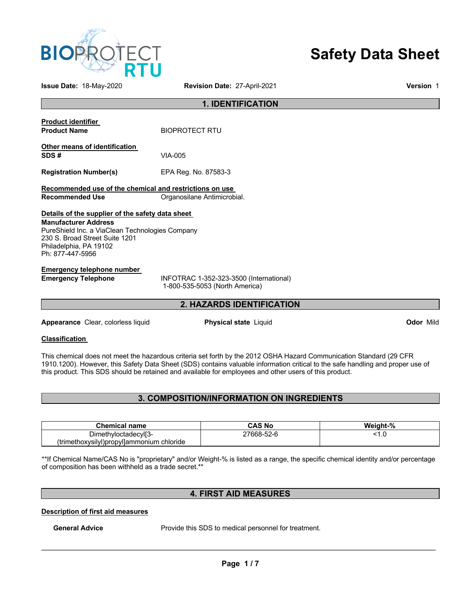

# **Safety Data Sheet**

**Issue Date:** 18-May-2020 **Revision Date:** 27-April-2021 **Version** 1

### **1. IDENTIFICATION**

| <b>Product identifier</b><br><b>Product Name</b>                                                                                                                                               | <b>BIOPROTECT RTU</b>       |  |  |  |
|------------------------------------------------------------------------------------------------------------------------------------------------------------------------------------------------|-----------------------------|--|--|--|
| Other means of identification<br>SDS#                                                                                                                                                          | VIA-005                     |  |  |  |
| <b>Registration Number(s)</b>                                                                                                                                                                  | EPA Reg. No. 87583-3        |  |  |  |
| Recommended use of the chemical and restrictions on use<br>Recommended Use                                                                                                                     | Organosilane Antimicrobial. |  |  |  |
| Details of the supplier of the safety data sheet<br><b>Manufacturer Address</b><br>PureShield Inc. a ViaClean Technologies Company<br>230 S. Broad Street Suite 1201<br>Philadelphia, PA 19102 |                             |  |  |  |
| Ph: 877-447-5956<br>Emergency telephone number                                                                                                                                                 |                             |  |  |  |

**Emergency Telephone** INFOTRAC 1-352-323-3500 (International) 1-800-535-5053 (North America)

### **2. HAZARDS IDENTIFICATION**

**Appearance** Clear, colorless liquid **Physical state** Liquid **Odor** Mild

#### **Classification**

This chemical does not meet the hazardous criteria set forth by the 2012 OSHA Hazard Communication Standard (29 CFR 1910.1200). However, this Safety Data Sheet (SDS) contains valuable information critical to the safe handling and proper use of this product. This SDS should be retained and available for employees and other users of this product.

### **3. COMPOSITION/INFORMATION ON INGREDIENTS**

| <b>Chemical name</b>                      | CAS No     | Weiaht-% |
|-------------------------------------------|------------|----------|
| Dimethyloctadecyl[3-                      | 27668-52-6 | ט. ו     |
| (trimethoxysilyl)propyl]ammonium chloride |            |          |

\*\*If Chemical Name/CAS No is "proprietary" and/or Weight-% is listed as a range, the specific chemical identity and/or percentage of composition has been withheld as a trade secret.\*\*

### **4. FIRST AID MEASURES**

**Description of first aid measures**

General Advice **Provide this SDS** to medical personnel for treatment.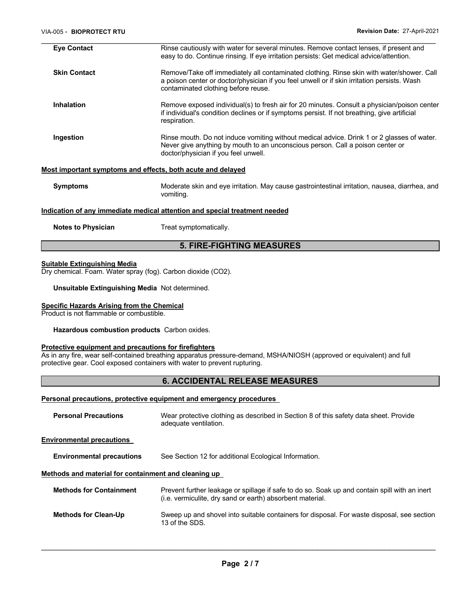| <b>Eye Contact</b>        | Rinse cautiously with water for several minutes. Remove contact lenses, if present and<br>easy to do. Continue rinsing. If eye irritation persists: Get medical advice/attention.                                               |
|---------------------------|---------------------------------------------------------------------------------------------------------------------------------------------------------------------------------------------------------------------------------|
| <b>Skin Contact</b>       | Remove/Take off immediately all contaminated clothing. Rinse skin with water/shower. Call<br>a poison center or doctor/physician if you feel unwell or if skin irritation persists. Wash<br>contaminated clothing before reuse. |
| <b>Inhalation</b>         | Remove exposed individual(s) to fresh air for 20 minutes. Consult a physician/poison center<br>if individual's condition declines or if symptoms persist. If not breathing, give artificial<br>respiration.                     |
| Ingestion                 | Rinse mouth. Do not induce vomiting without medical advice. Drink 1 or 2 glasses of water.<br>Never give anything by mouth to an unconscious person. Call a poison center or<br>doctor/physician if you feel unwell.            |
|                           | Most important symptoms and effects, both acute and delayed                                                                                                                                                                     |
| <b>Symptoms</b>           | Moderate skin and eye irritation. May cause gastrointestinal irritation, nausea, diarrhea, and<br>vomiting.                                                                                                                     |
|                           | <u>Indication of any immediate medical attention and special treatment needed</u>                                                                                                                                               |
| <b>Notes to Physician</b> | Treat symptomatically.                                                                                                                                                                                                          |

### **5. FIRE-FIGHTING MEASURES**

#### **Suitable Extinguishing Media**

Dry chemical. Foam. Water spray (fog). Carbon dioxide (CO2).

**Unsuitable Extinguishing Media** Not determined.

#### **Specific Hazards Arising from the Chemical**

Product is not flammable or combustible.

**Hazardous combustion products** Carbon oxides.

#### **Protective equipment and precautions for firefighters**

As in any fire, wear self-contained breathing apparatus pressure-demand, MSHA/NIOSH (approved or equivalent) and full protective gear. Cool exposed containers with water to prevent rupturing.

### **6. ACCIDENTAL RELEASE MEASURES**

### **Personal precautions, protective equipment and emergency procedures**

| <b>Personal Precautions</b>                          | Wear protective clothing as described in Section 8 of this safety data sheet. Provide<br>adequate ventilation.                                             |
|------------------------------------------------------|------------------------------------------------------------------------------------------------------------------------------------------------------------|
| <b>Environmental precautions</b>                     |                                                                                                                                                            |
| <b>Environmental precautions</b>                     | See Section 12 for additional Ecological Information.                                                                                                      |
| Methods and material for containment and cleaning up |                                                                                                                                                            |
| <b>Methods for Containment</b>                       | Prevent further leakage or spillage if safe to do so. Soak up and contain spill with an inert<br>(i.e. vermiculite, dry sand or earth) absorbent material. |
| <b>Methods for Clean-Up</b>                          | Sweep up and shovel into suitable containers for disposal. For waste disposal, see section<br>13 of the SDS.                                               |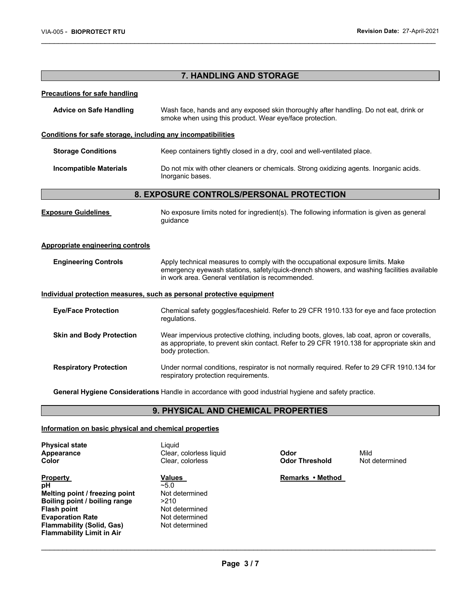| 7. HANDLING AND STORAGE                                               |                                                                                                                                                                                                                                  |  |  |  |
|-----------------------------------------------------------------------|----------------------------------------------------------------------------------------------------------------------------------------------------------------------------------------------------------------------------------|--|--|--|
| <b>Precautions for safe handling</b>                                  |                                                                                                                                                                                                                                  |  |  |  |
| <b>Advice on Safe Handling</b>                                        | Wash face, hands and any exposed skin thoroughly after handling. Do not eat, drink or<br>smoke when using this product. Wear eye/face protection.                                                                                |  |  |  |
| Conditions for safe storage, including any incompatibilities          |                                                                                                                                                                                                                                  |  |  |  |
| <b>Storage Conditions</b>                                             | Keep containers tightly closed in a dry, cool and well-ventilated place.                                                                                                                                                         |  |  |  |
| <b>Incompatible Materials</b>                                         | Do not mix with other cleaners or chemicals. Strong oxidizing agents. Inorganic acids.<br>Inorganic bases.                                                                                                                       |  |  |  |
|                                                                       | 8. EXPOSURE CONTROLS/PERSONAL PROTECTION                                                                                                                                                                                         |  |  |  |
| <b>Exposure Guidelines</b>                                            | No exposure limits noted for ingredient(s). The following information is given as general<br>quidance                                                                                                                            |  |  |  |
| <b>Appropriate engineering controls</b>                               |                                                                                                                                                                                                                                  |  |  |  |
| <b>Engineering Controls</b>                                           | Apply technical measures to comply with the occupational exposure limits. Make<br>emergency eyewash stations, safety/quick-drench showers, and washing facilities available<br>in work area. General ventilation is recommended. |  |  |  |
| Individual protection measures, such as personal protective equipment |                                                                                                                                                                                                                                  |  |  |  |
| <b>Eye/Face Protection</b>                                            | Chemical safety goggles/faceshield. Refer to 29 CFR 1910.133 for eye and face protection<br>regulations.                                                                                                                         |  |  |  |
| <b>Skin and Body Protection</b>                                       | Wear impervious protective clothing, including boots, gloves, lab coat, apron or coveralls,<br>as appropriate, to prevent skin contact. Refer to 29 CFR 1910.138 for appropriate skin and<br>body protection.                    |  |  |  |
| <b>Respiratory Protection</b>                                         | Under normal conditions, respirator is not normally required. Refer to 29 CFR 1910.134 for<br>respiratory protection requirements.                                                                                               |  |  |  |

\_\_\_\_\_\_\_\_\_\_\_\_\_\_\_\_\_\_\_\_\_\_\_\_\_\_\_\_\_\_\_\_\_\_\_\_\_\_\_\_\_\_\_\_\_\_\_\_\_\_\_\_\_\_\_\_\_\_\_\_\_\_\_\_\_\_\_\_\_\_\_\_\_\_\_\_\_\_\_\_\_\_\_\_\_\_\_\_\_\_\_\_\_

**General Hygiene Considerations** Handle in accordance with good industrial hygiene and safety practice.

### **9. PHYSICAL AND CHEMICAL PROPERTIES**

### **Information on basic physical and chemical properties**

| <b>Physical state</b><br>Appearance<br>Color | Liauid<br>Clear, colorless liquid<br>Clear, colorless | Odor<br><b>Odor Threshold</b> | Mild<br>Not determined |
|----------------------------------------------|-------------------------------------------------------|-------------------------------|------------------------|
| <b>Property</b>                              | <b>Values</b>                                         | Remarks • Method              |                        |
| рH                                           | $-5.0$                                                |                               |                        |
| Melting point / freezing point               | Not determined                                        |                               |                        |
| Boiling point / boiling range                | >210                                                  |                               |                        |
| <b>Flash point</b>                           | Not determined                                        |                               |                        |
| <b>Evaporation Rate</b>                      | Not determined                                        |                               |                        |
| <b>Flammability (Solid, Gas)</b>             | Not determined                                        |                               |                        |
| <b>Flammability Limit in Air</b>             |                                                       |                               |                        |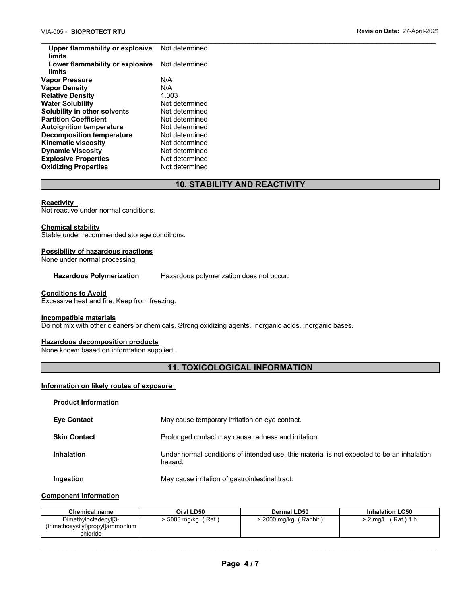\_\_\_\_\_\_\_\_\_\_\_\_\_\_\_\_\_\_\_\_\_\_\_\_\_\_\_\_\_\_\_\_\_\_\_\_\_\_\_\_\_\_\_\_\_\_\_\_\_\_\_\_\_\_\_\_\_\_\_\_\_\_\_\_\_\_\_\_\_\_\_\_\_\_\_\_\_\_\_\_\_\_\_\_\_\_\_\_\_\_\_\_\_ **Upper flammability or explosive limits**  Not determined **Lower flammability or explosive limits**  Not determined **Vapor Pressure M/A Vapor Density** N/A **Relative Density Water Solubility Not determined Solubility in other solvents** Not determined **Partition Coefficient Not determined**<br> **Autoignition temperature** Not determined **Autoignition temperature Decomposition temperature** Not determined **Kinematic viscosity Not determined Dynamic Viscosity Not determined Explosive Properties** Not determined **Oxidizing Properties Not determined** 

### **10. STABILITY AND REACTIVITY**

#### **Reactivity**

Not reactive under normal conditions.

#### **Chemical stability**

Stable under recommended storage conditions.

#### **Possibility of hazardous reactions**

None under normal processing.

**Hazardous Polymerization** Hazardous polymerization does not occur.

#### **Conditions to Avoid**

Excessive heat and fire. Keep from freezing.

#### **Incompatible materials**

Do not mix with other cleaners or chemicals. Strong oxidizing agents. Inorganic acids. Inorganic bases.

#### **Hazardous decomposition products**

None known based on information supplied.

### **11. TOXICOLOGICAL INFORMATION**

#### **Information on likely routes of exposure**

| <b>Product Information</b> |                                                                                                       |
|----------------------------|-------------------------------------------------------------------------------------------------------|
| <b>Eye Contact</b>         | May cause temporary irritation on eye contact.                                                        |
| <b>Skin Contact</b>        | Prolonged contact may cause redness and irritation.                                                   |
| <b>Inhalation</b>          | Under normal conditions of intended use, this material is not expected to be an inhalation<br>hazard. |
| Ingestion                  | May cause irritation of gastrointestinal tract.                                                       |

### **Component Information**

| Chemical name                                                                    | Oral LD50           | Dermal LD50          | <b>Inhalation LC50</b> |
|----------------------------------------------------------------------------------|---------------------|----------------------|------------------------|
| Dimethyloctadecyl <sup>[3-</sup><br>(trimethoxysilyl)propyl]ammonium<br>chloride | · 5000 mg/kg<br>Rat | 2000 mg/kg<br>Rabbit | (Rat) 1 h<br>2 mg/L    |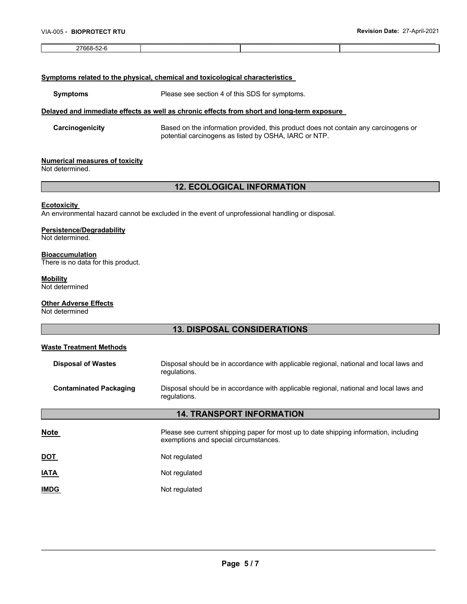#### \_\_\_\_\_\_\_\_\_\_\_\_\_\_\_\_\_\_\_\_\_\_\_\_\_\_\_\_\_\_\_\_\_\_\_\_\_\_\_\_\_\_\_\_\_\_\_\_\_\_\_\_\_\_\_\_\_\_\_\_\_\_\_\_\_\_\_\_\_\_\_\_\_\_\_\_\_\_\_\_\_\_\_\_\_\_\_\_\_\_\_\_\_ 27668-52-6

#### **Symptoms related to the physical, chemical and toxicological characteristics**

**Symptoms** Please see section 4 of this SDS for symptoms.

#### **Delayed and immediate effects as well as chronic effects from short and long-term exposure**

**Carcinogenicity** Based on the information provided, this product does not contain any carcinogens or potential carcinogens as listed by OSHA, IARC or NTP.

#### **Numerical measures of toxicity**

Not determined.

### **12. ECOLOGICAL INFORMATION**

#### **Ecotoxicity**

An environmental hazard cannot be excluded in the event of unprofessional handling or disposal.

#### **Persistence/Degradability**

Not determined.

#### **Bioaccumulation**

There is no data for this product.

#### **Mobility**

Not determined

#### **Other Adverse Effects**

Not determined

## **13. DISPOSAL CONSIDERATIONS Waste Treatment Methods Disposal of Wastes** Disposal should be in accordance with applicable regional, national and local laws and regulations. **Contaminated Packaging** Disposal should be in accordance with applicable regional, national and local laws and regulations. **14. TRANSPORT INFORMATION Note Please see current shipping paper for most up to date shipping information, including vertiles and proportion of Please see current shipping paper for most up to date shipping information, including** exemptions and special circumstances. **DOT** Not regulated **IATA** Not regulated **IMDG** Not regulated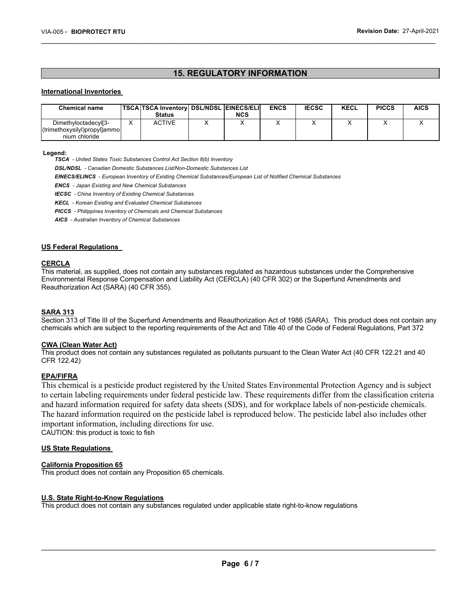### **15. REGULATORY INFORMATION**

\_\_\_\_\_\_\_\_\_\_\_\_\_\_\_\_\_\_\_\_\_\_\_\_\_\_\_\_\_\_\_\_\_\_\_\_\_\_\_\_\_\_\_\_\_\_\_\_\_\_\_\_\_\_\_\_\_\_\_\_\_\_\_\_\_\_\_\_\_\_\_\_\_\_\_\_\_\_\_\_\_\_\_\_\_\_\_\_\_\_\_\_\_

#### **International Inventories**

| <b>Chemical name</b>         | <b>TSCA TSCA Inventory DSL/NDSL EINECS/ELI</b> |            | <b>ENCS</b> | <b>IECSC</b> | <b>KECL</b> | <b>PICCS</b> | <b>AICS</b> |
|------------------------------|------------------------------------------------|------------|-------------|--------------|-------------|--------------|-------------|
|                              | <b>Status</b>                                  | <b>NCS</b> |             |              |             |              |             |
| Dimethyloctadecyl[3-         | <b>ACTIVE</b>                                  |            |             |              |             |              |             |
| (trimethoxysilyl)propyl]ammo |                                                |            |             |              |             |              |             |
| nium chloride                |                                                |            |             |              |             |              |             |

#### **Legend:**

*TSCA - United States Toxic Substances Control Act Section 8(b) Inventory* 

*DSL/NDSL - Canadian Domestic Substances List/Non-Domestic Substances List* 

*EINECS/ELINCS - European Inventory of Existing Chemical Substances/European List of Notified Chemical Substances* 

*ENCS - Japan Existing and New Chemical Substances* 

*IECSC - China Inventory of Existing Chemical Substances* 

*KECL - Korean Existing and Evaluated Chemical Substances* 

*PICCS - Philippines Inventory of Chemicals and Chemical Substances* 

*AICS - Australian Inventory of Chemical Substances* 

#### **US Federal Regulations**

#### **CERCLA**

This material, as supplied, does not contain any substances regulated as hazardous substances under the Comprehensive Environmental Response Compensation and Liability Act (CERCLA) (40 CFR 302) or the Superfund Amendments and Reauthorization Act (SARA) (40 CFR 355).

#### **SARA 313**

Section 313 of Title III of the Superfund Amendments and Reauthorization Act of 1986 (SARA). This product does not contain any chemicals which are subject to the reporting requirements of the Act and Title 40 of the Code of Federal Regulations, Part 372

#### **CWA (Clean Water Act)**

This product does not contain any substances regulated as pollutants pursuant to the Clean Water Act (40 CFR 122.21 and 40 CFR 122.42)

#### **EPA/FIFRA**

This chemical is a pesticide product registered by the United States Environmental Protection Agency and is subject to certain labeling requirements under federal pesticide law. These requirements differ from the classification criteria and hazard information required for safety data sheets (SDS), and for workplace labels of non-pesticide chemicals. The hazard information required on the pesticide label is reproduced below. The pesticide label also includes other important information, including directions for use.

CAUTION: this product is toxic to fish

#### **US State Regulations**

#### **California Proposition 65**

This product does not contain any Proposition 65 chemicals.

#### **U.S. State Right-to-Know Regulations**

This product does not contain any substances regulated under applicable state right-to-know regulations